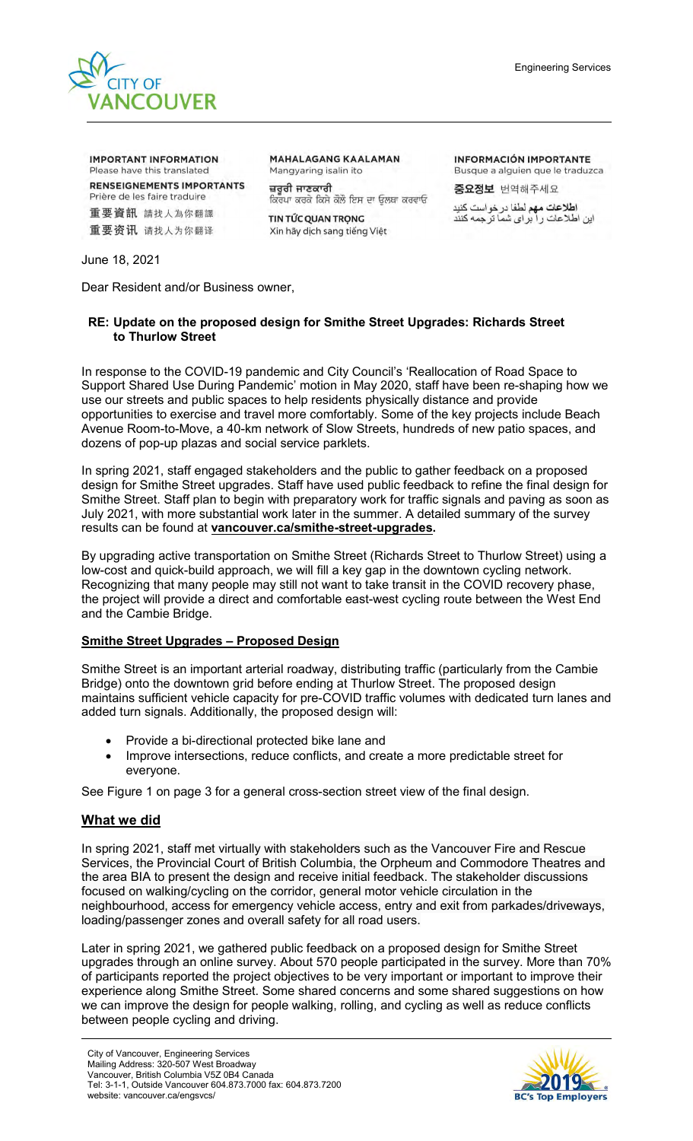

**IMPORTANT INFORMATION** Please have this translated **RENSEIGNEMENTS IMPORTANTS** Prière de les faire traduire 重要資訊 請找人為你翻譯 重要资讯 请找人为你翻译

**MAHALAGANG KAALAMAN** Mangyaring isalin ito ਜ਼ਰੂਰੀ ਜਾਣਕਾਰੀ

ਕਿਰਪਾ ਕਰਕੇ ਕਿਸੇ ਕੋਲੋ ਇਸ ਦਾ ਓਲਥਾ ਕਰਵਾਓ TIN TỨC QUAN TRONG

Xin hãy dịch sang tiếng Việt

**INFORMACIÓN IMPORTANTE** Busque a alguien que le traduzca 중요정보 번역해주세요

ا**طلاعات مهم لطف**ا در خواست كنيد<br>اين اطلاعات ر ا بر اي شما ترجمه كنند

June 18, 2021

Dear Resident and/or Business owner,

# **RE: Update on the proposed design for Smithe Street Upgrades: Richards Street to Thurlow Street**

In response to the COVID-19 pandemic and City Council's 'Reallocation of Road Space to Support Shared Use During Pandemic' motion in May 2020, staff have been re-shaping how we use our streets and public spaces to help residents physically distance and provide opportunities to exercise and travel more comfortably. Some of the key projects include Beach Avenue Room-to-Move, a 40-km network of Slow Streets, hundreds of new patio spaces, and dozens of pop-up plazas and social service parklets.

In spring 2021, staff engaged stakeholders and the public to gather feedback on a proposed design for Smithe Street upgrades. Staff have used public feedback to refine the final design for Smithe Street. Staff plan to begin with preparatory work for traffic signals and paving as soon as July 2021, with more substantial work later in the summer. A detailed summary of the survey results can be found at **[vancouver.ca/smithe-street-upgrades.](vancouver.ca/smithe-street-upgrades)**

By upgrading active transportation on Smithe Street (Richards Street to Thurlow Street) using a low-cost and quick-build approach, we will fill a key gap in the downtown cycling network. Recognizing that many people may still not want to take transit in the COVID recovery phase, the project will provide a direct and comfortable east-west cycling route between the West End and the Cambie Bridge.

# **Smithe Street Upgrades – Proposed Design**

Smithe Street is an important arterial roadway, distributing traffic (particularly from the Cambie Bridge) onto the downtown grid before ending at Thurlow Street. The proposed design maintains sufficient vehicle capacity for pre-COVID traffic volumes with dedicated turn lanes and added turn signals. Additionally, the proposed design will:

- Provide a bi-directional protected bike lane and
- Improve intersections, reduce conflicts, and create a more predictable street for everyone.

See Figure 1 on page 3 for a general cross-section street view of the final design.

# **What we did**

In spring 2021, staff met virtually with stakeholders such as the Vancouver Fire and Rescue Services, the Provincial Court of British Columbia, the Orpheum and Commodore Theatres and the area BIA to present the design and receive initial feedback. The stakeholder discussions focused on walking/cycling on the corridor, general motor vehicle circulation in the neighbourhood, access for emergency vehicle access, entry and exit from parkades/driveways, loading/passenger zones and overall safety for all road users.

Later in spring 2021, we gathered public feedback on a proposed design for Smithe Street upgrades through an online survey. About 570 people participated in the survey. More than 70% of participants reported the project objectives to be very important or important to improve their experience along Smithe Street. Some shared concerns and some shared suggestions on how we can improve the design for people walking, rolling, and cycling as well as reduce conflicts between people cycling and driving.

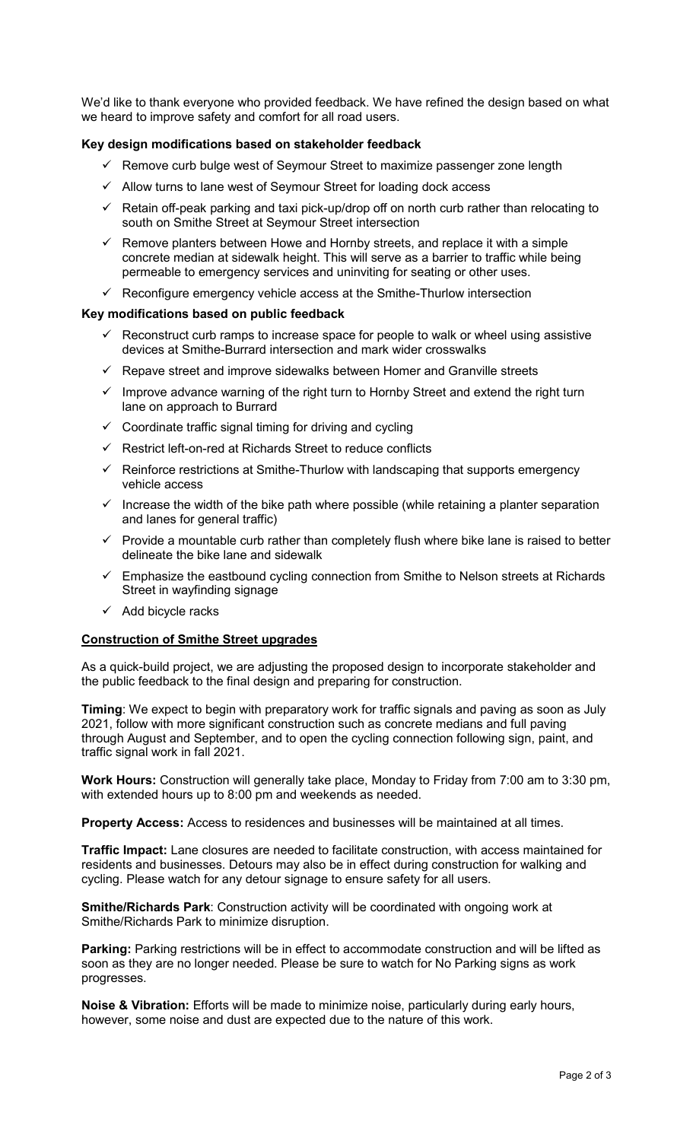We'd like to thank everyone who provided feedback. We have refined the design based on what we heard to improve safety and comfort for all road users.

## **Key design modifications based on stakeholder feedback**

- $\checkmark$  Remove curb bulge west of Seymour Street to maximize passenger zone length
- $\checkmark$  Allow turns to lane west of Seymour Street for loading dock access
- $\checkmark$  Retain off-peak parking and taxi pick-up/drop off on north curb rather than relocating to south on Smithe Street at Seymour Street intersection
- $\checkmark$  Remove planters between Howe and Hornby streets, and replace it with a simple concrete median at sidewalk height. This will serve as a barrier to traffic while being permeable to emergency services and uninviting for seating or other uses.
- $\checkmark$  Reconfigure emergency vehicle access at the Smithe-Thurlow intersection

### **Key modifications based on public feedback**

- $\checkmark$  Reconstruct curb ramps to increase space for people to walk or wheel using assistive devices at Smithe-Burrard intersection and mark wider crosswalks
- $\checkmark$  Repave street and improve sidewalks between Homer and Granville streets
- $\checkmark$  Improve advance warning of the right turn to Hornby Street and extend the right turn lane on approach to Burrard
- $\checkmark$  Coordinate traffic signal timing for driving and cycling
- $\checkmark$  Restrict left-on-red at Richards Street to reduce conflicts
- $\checkmark$  Reinforce restrictions at Smithe-Thurlow with landscaping that supports emergency vehicle access
- $\checkmark$  Increase the width of the bike path where possible (while retaining a planter separation and lanes for general traffic)
- $\checkmark$  Provide a mountable curb rather than completely flush where bike lane is raised to better delineate the bike lane and sidewalk
- $\checkmark$  Emphasize the eastbound cycling connection from Smithe to Nelson streets at Richards Street in wayfinding signage
- $\checkmark$  Add bicycle racks

### **Construction of Smithe Street upgrades**

As a quick-build project, we are adjusting the proposed design to incorporate stakeholder and the public feedback to the final design and preparing for construction.

**Timing**: We expect to begin with preparatory work for traffic signals and paving as soon as July 2021, follow with more significant construction such as concrete medians and full paving through August and September, and to open the cycling connection following sign, paint, and traffic signal work in fall 2021.

**Work Hours:** Construction will generally take place, Monday to Friday from 7:00 am to 3:30 pm, with extended hours up to 8:00 pm and weekends as needed.

**Property Access:** Access to residences and businesses will be maintained at all times.

**Traffic Impact:** Lane closures are needed to facilitate construction, with access maintained for residents and businesses. Detours may also be in effect during construction for walking and cycling. Please watch for any detour signage to ensure safety for all users.

**Smithe/Richards Park**: Construction activity will be coordinated with ongoing work at Smithe/Richards Park to minimize disruption.

**Parking:** Parking restrictions will be in effect to accommodate construction and will be lifted as soon as they are no longer needed. Please be sure to watch for No Parking signs as work progresses.

**Noise & Vibration:** Efforts will be made to minimize noise, particularly during early hours, however, some noise and dust are expected due to the nature of this work.